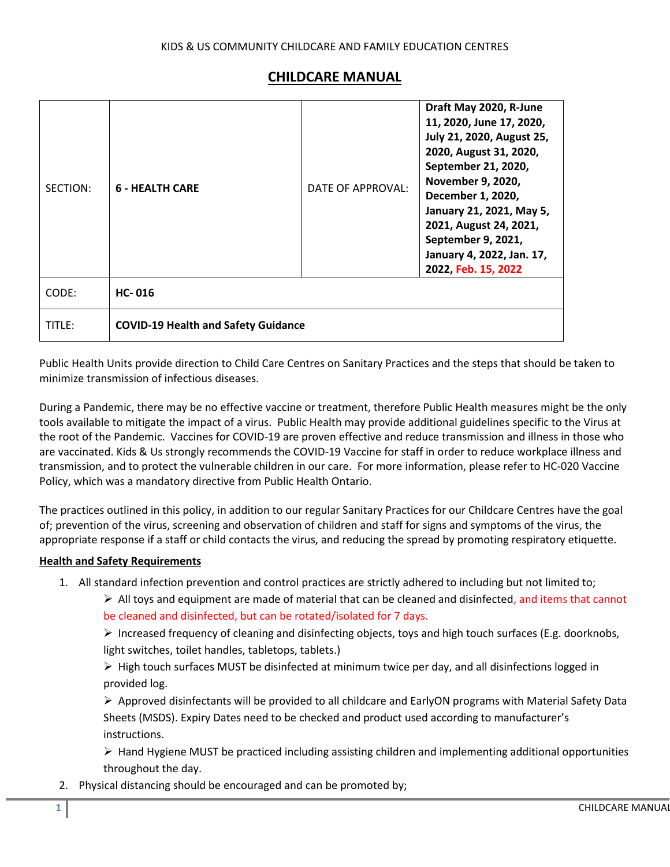## **CHILDCARE MANUAL**

| SECTION: | <b>6 - HEALTH CARE</b>                     | DATE OF APPROVAL: | Draft May 2020, R-June<br>11, 2020, June 17, 2020,<br>July 21, 2020, August 25,<br>2020, August 31, 2020,<br>September 21, 2020,<br>November 9, 2020,<br>December 1, 2020,<br>January 21, 2021, May 5,<br>2021, August 24, 2021,<br>September 9, 2021,<br>January 4, 2022, Jan. 17,<br>2022, Feb. 15, 2022 |
|----------|--------------------------------------------|-------------------|------------------------------------------------------------------------------------------------------------------------------------------------------------------------------------------------------------------------------------------------------------------------------------------------------------|
| CODE:    | <b>HC-016</b>                              |                   |                                                                                                                                                                                                                                                                                                            |
| TITLE:   | <b>COVID-19 Health and Safety Guidance</b> |                   |                                                                                                                                                                                                                                                                                                            |

Public Health Units provide direction to Child Care Centres on Sanitary Practices and the steps that should be taken to minimize transmission of infectious diseases.

During a Pandemic, there may be no effective vaccine or treatment, therefore Public Health measures might be the only tools available to mitigate the impact of a virus. Public Health may provide additional guidelines specific to the Virus at the root of the Pandemic. Vaccines for COVID-19 are proven effective and reduce transmission and illness in those who are vaccinated. Kids & Us strongly recommends the COVID-19 Vaccine for staff in order to reduce workplace illness and transmission, and to protect the vulnerable children in our care. For more information, please refer to HC-020 Vaccine Policy, which was a mandatory directive from Public Health Ontario.

The practices outlined in this policy, in addition to our regular Sanitary Practices for our Childcare Centres have the goal of; prevention of the virus, screening and observation of children and staff for signs and symptoms of the virus, the appropriate response if a staff or child contacts the virus, and reducing the spread by promoting respiratory etiquette.

## **Health and Safety Requirements**

1. All standard infection prevention and control practices are strictly adhered to including but not limited to;

 All toys and equipment are made of material that can be cleaned and disinfected, and items that cannot be cleaned and disinfected, but can be rotated/isolated for 7 days.

 $\triangleright$  Increased frequency of cleaning and disinfecting objects, toys and high touch surfaces (E.g. doorknobs, light switches, toilet handles, tabletops, tablets.)

 $\triangleright$  High touch surfaces MUST be disinfected at minimum twice per day, and all disinfections logged in provided log.

 Approved disinfectants will be provided to all childcare and EarlyON programs with Material Safety Data Sheets (MSDS). Expiry Dates need to be checked and product used according to manufacturer's instructions.

 $\triangleright$  Hand Hygiene MUST be practiced including assisting children and implementing additional opportunities throughout the day.

2. Physical distancing should be encouraged and can be promoted by;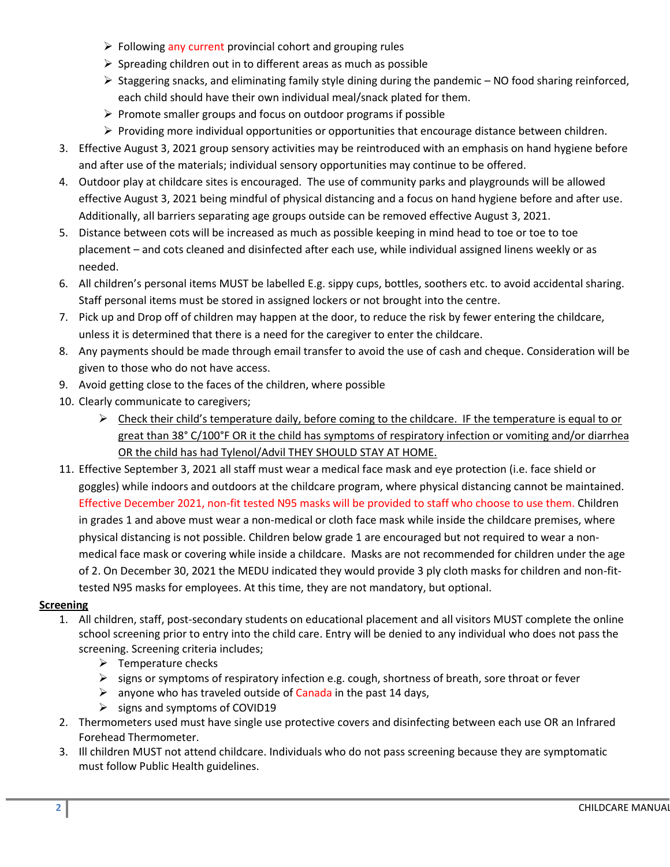- $\triangleright$  Following any current provincial cohort and grouping rules
- $\triangleright$  Spreading children out in to different areas as much as possible
- $\triangleright$  Staggering snacks, and eliminating family style dining during the pandemic NO food sharing reinforced, each child should have their own individual meal/snack plated for them.
- $\triangleright$  Promote smaller groups and focus on outdoor programs if possible
- $\triangleright$  Providing more individual opportunities or opportunities that encourage distance between children.
- 3. Effective August 3, 2021 group sensory activities may be reintroduced with an emphasis on hand hygiene before and after use of the materials; individual sensory opportunities may continue to be offered.
- 4. Outdoor play at childcare sites is encouraged. The use of community parks and playgrounds will be allowed effective August 3, 2021 being mindful of physical distancing and a focus on hand hygiene before and after use. Additionally, all barriers separating age groups outside can be removed effective August 3, 2021.
- 5. Distance between cots will be increased as much as possible keeping in mind head to toe or toe to toe placement – and cots cleaned and disinfected after each use, while individual assigned linens weekly or as needed.
- 6. All children's personal items MUST be labelled E.g. sippy cups, bottles, soothers etc. to avoid accidental sharing. Staff personal items must be stored in assigned lockers or not brought into the centre.
- 7. Pick up and Drop off of children may happen at the door, to reduce the risk by fewer entering the childcare, unless it is determined that there is a need for the caregiver to enter the childcare.
- 8. Any payments should be made through email transfer to avoid the use of cash and cheque. Consideration will be given to those who do not have access.
- 9. Avoid getting close to the faces of the children, where possible
- 10. Clearly communicate to caregivers;
	- $\triangleright$  Check their child's temperature daily, before coming to the childcare. IF the temperature is equal to or great than 38° C/100°F OR it the child has symptoms of respiratory infection or vomiting and/or diarrhea OR the child has had Tylenol/Advil THEY SHOULD STAY AT HOME.
- 11. Effective September 3, 2021 all staff must wear a medical face mask and eye protection (i.e. face shield or goggles) while indoors and outdoors at the childcare program, where physical distancing cannot be maintained. Effective December 2021, non-fit tested N95 masks will be provided to staff who choose to use them. Children in grades 1 and above must wear a non-medical or cloth face mask while inside the childcare premises, where physical distancing is not possible. Children below grade 1 are encouraged but not required to wear a nonmedical face mask or covering while inside a childcare. Masks are not recommended for children under the age of 2. On December 30, 2021 the MEDU indicated they would provide 3 ply cloth masks for children and non-fittested N95 masks for employees. At this time, they are not mandatory, but optional.

## **Screening**

- 1. All children, staff, post-secondary students on educational placement and all visitors MUST complete the online school screening prior to entry into the child care. Entry will be denied to any individual who does not pass the screening. Screening criteria includes;
	- $\triangleright$  Temperature checks
	- $\triangleright$  signs or symptoms of respiratory infection e.g. cough, shortness of breath, sore throat or fever
	- $\triangleright$  anyone who has traveled outside of Canada in the past 14 days,
	- $\triangleright$  signs and symptoms of COVID19
- 2. Thermometers used must have single use protective covers and disinfecting between each use OR an Infrared Forehead Thermometer.
- 3. Ill children MUST not attend childcare. Individuals who do not pass screening because they are symptomatic must follow Public Health guidelines.